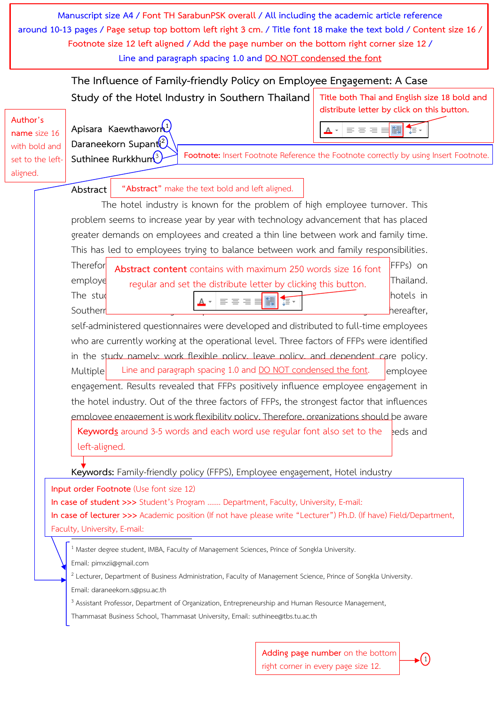**Manuscript size A4 / Font TH SarabunPSK overall / All including the academic article reference around 10-13 pages / Page setup top bottom left right 3 cm. / Title font 18 make the text bold / Content size 16 / Footnote size 12 left aligned / Add the page number on the bottom right corner size 12 / Line and paragraph spacing 1.0 and DO NOT condensed the font**

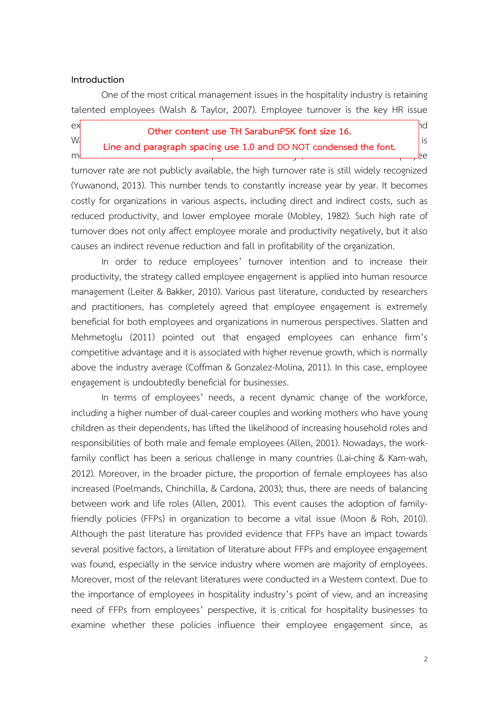#### **Introduction**

One of the most critical management issues in the hospitality industry is retaining talented employees (Walsh & Taylor, 2007). Employee turnover is the key HR issue

ex**perience in the hospitality industry of the content use TH SarabunPSK font size 16. <b>According to Lee and 2016**  $W_1$  (2010) and Paragraph engine use 1.0 and PO NOT condensed the feat signality is measured to be form of the from 60 to 300 to 300 for the form 60 condenser on hotel employee. **Line and paragraph spacing use 1.0 and DO NOT condensed the font.**

turnover rate are not publicly available, the high turnover rate is still widely recognized (Yuwanond, 2013). This number tends to constantly increase year by year. It becomes costly for organizations in various aspects, including direct and indirect costs, such as reduced productivity, and lower employee morale (Mobley, 1982). Such high rate of turnover does not only affect employee morale and productivity negatively, but it also causes an indirect revenue reduction and fall in profitability of the organization.

In order to reduce employees' turnover intention and to increase their productivity, the strategy called employee engagement is applied into human resource management (Leiter & Bakker, 2010). Various past literature, conducted by researchers and practitioners, has completely agreed that employee engagement is extremely beneficial for both employees and organizations in numerous perspectives. Slatten and Mehmetoglu (2011) pointed out that engaged employees can enhance firm's competitive advantage and it is associated with higher revenue growth, which is normally above the industry average (Coffman & Gonzalez-Molina, 2011). In this case, employee engagement is undoubtedly beneficial for businesses.

In terms of employees' needs, a recent dynamic change of the workforce, including a higher number of dual-career couples and working mothers who have young children as their dependents, has lifted the likelihood of increasing household roles and responsibilities of both male and female employees (Allen, 2001). Nowadays, the workfamily conflict has been a serious challenge in many countries (Lai-ching & Kam-wah, 2012). Moreover, in the broader picture, the proportion of female employees has also increased (Poelmands, Chinchilla, & Cardona, 2003); thus, there are needs of balancing between work and life roles (Allen, 2001). This event causes the adoption of familyfriendly policies (FFPs) in organization to become a vital issue (Moon & Roh, 2010). Although the past literature has provided evidence that FFPs have an impact towards several positive factors, a limitation of literature about FFPs and employee engagement was found, especially in the service industry where women are majority of employees. Moreover, most of the relevant literatures were conducted in a Western context. Due to the importance of employees in hospitality industry's point of view, and an increasing need of FFPs from employees' perspective, it is critical for hospitality businesses to examine whether these policies influence their employee engagement since, as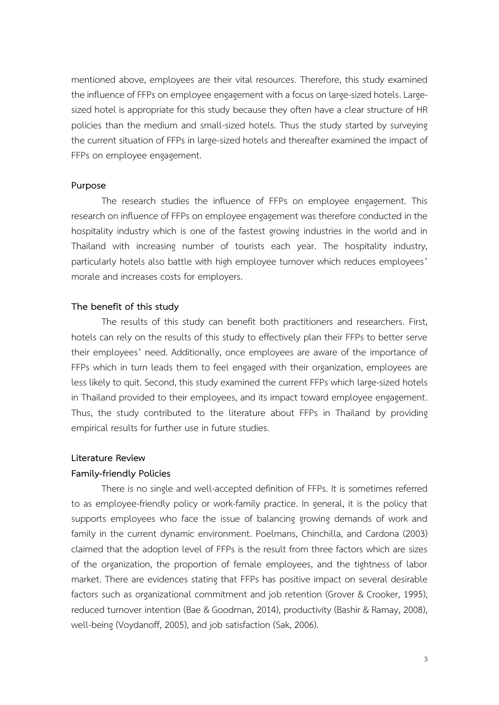mentioned above, employees are their vital resources. Therefore, this study examined the influence of FFPs on employee engagement with a focus on large-sized hotels. Largesized hotel is appropriate for this study because they often have a clear structure of HR policies than the medium and small-sized hotels. Thus the study started by surveying the current situation of FFPs in large-sized hotels and thereafter examined the impact of FFPs on employee engagement.

#### **Purpose**

The research studies the influence of FFPs on employee engagement. This research on influence of FFPs on employee engagement was therefore conducted in the hospitality industry which is one of the fastest growing industries in the world and in Thailand with increasing number of tourists each year. The hospitality industry, particularly hotels also battle with high employee turnover which reduces employees' morale and increases costs for employers.

#### **The benefit of this study**

The results of this study can benefit both practitioners and researchers. First, hotels can rely on the results of this study to effectively plan their FFPs to better serve their employees' need. Additionally, once employees are aware of the importance of FFPs which in turn leads them to feel engaged with their organization, employees are less likely to quit. Second, this study examined the current FFPs which large-sized hotels in Thailand provided to their employees, and its impact toward employee engagement. Thus, the study contributed to the literature about FFPs in Thailand by providing empirical results for further use in future studies.

#### **Literature Review**

#### **Family-friendly Policies**

There is no single and well-accepted definition of FFPs. It is sometimes referred to as employee-friendly policy or work-family practice. In general, it is the policy that supports employees who face the issue of balancing growing demands of work and family in the current dynamic environment. Poelmans, Chinchilla, and Cardona (2003) claimed that the adoption level of FFPs is the result from three factors which are sizes of the organization, the proportion of female employees, and the tightness of labor market. There are evidences stating that FFPs has positive impact on several desirable factors such as organizational commitment and job retention (Grover & Crooker, 1995), reduced turnover intention (Bae & Goodman, 2014), productivity (Bashir & Ramay, 2008), well-being (Voydanoff, 2005), and job satisfaction (Sak, 2006).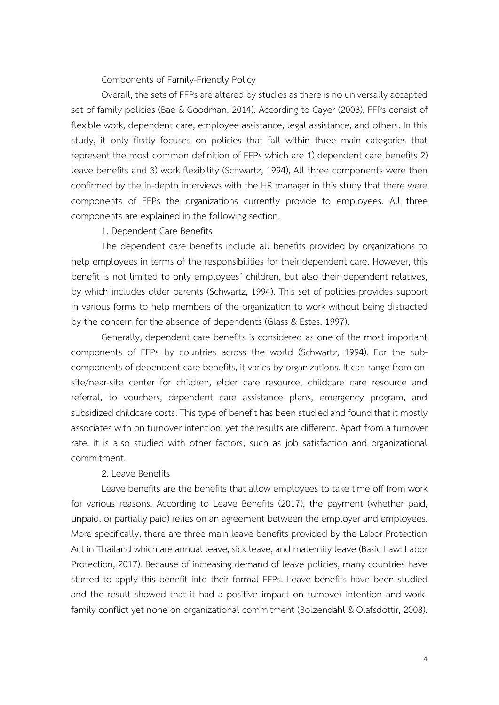#### Components of Family-Friendly Policy

Overall, the sets of FFPs are altered by studies as there is no universally accepted set of family policies (Bae & Goodman, 2014). According to Cayer (2003), FFPs consist of flexible work, dependent care, employee assistance, legal assistance, and others. In this study, it only firstly focuses on policies that fall within three main categories that represent the most common definition of FFPs which are 1) dependent care benefits 2) leave benefits and 3) work flexibility (Schwartz, 1994), All three components were then confirmed by the in-depth interviews with the HR manager in this study that there were components of FFPs the organizations currently provide to employees. All three components are explained in the following section.

#### 1. Dependent Care Benefits

The dependent care benefits include all benefits provided by organizations to help employees in terms of the responsibilities for their dependent care. However, this benefit is not limited to only employees' children, but also their dependent relatives, by which includes older parents (Schwartz, 1994). This set of policies provides support in various forms to help members of the organization to work without being distracted by the concern for the absence of dependents (Glass & Estes, 1997).

Generally, dependent care benefits is considered as one of the most important components of FFPs by countries across the world (Schwartz, 1994). For the subcomponents of dependent care benefits, it varies by organizations. It can range from onsite/near-site center for children, elder care resource, childcare care resource and referral, to vouchers, dependent care assistance plans, emergency program, and subsidized childcare costs. This type of benefit has been studied and found that it mostly associates with on turnover intention, yet the results are different. Apart from a turnover rate, it is also studied with other factors, such as job satisfaction and organizational commitment.

#### 2. Leave Benefits

Leave benefits are the benefits that allow employees to take time off from work for various reasons. According to Leave Benefits (2017), the payment (whether paid, unpaid, or partially paid) relies on an agreement between the employer and employees. More specifically, there are three main leave benefits provided by the Labor Protection Act in Thailand which are annual leave, sick leave, and maternity leave (Basic Law: Labor Protection, 2017). Because of increasing demand of leave policies, many countries have started to apply this benefit into their formal FFPs. Leave benefits have been studied and the result showed that it had a positive impact on turnover intention and workfamily conflict yet none on organizational commitment (Bolzendahl & Olafsdottir, 2008).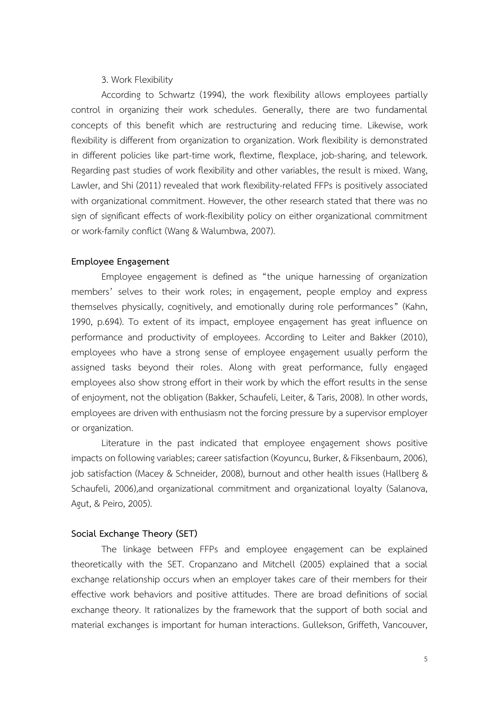#### 3. Work Flexibility

According to Schwartz (1994), the work flexibility allows employees partially control in organizing their work schedules. Generally, there are two fundamental concepts of this benefit which are restructuring and reducing time. Likewise, work flexibility is different from organization to organization. Work flexibility is demonstrated in different policies like part-time work, flextime, flexplace, job-sharing, and telework. Regarding past studies of work flexibility and other variables, the result is mixed. Wang, Lawler, and Shi (2011) revealed that work flexibility-related FFPs is positively associated with organizational commitment. However, the other research stated that there was no sign of significant effects of work-flexibility policy on either organizational commitment or work-family conflict (Wang & Walumbwa, 2007).

#### **Employee Engagement**

Employee engagement is defined as "the unique harnessing of organization members' selves to their work roles; in engagement, people employ and express themselves physically, cognitively, and emotionally during role performances" (Kahn, 1990, p.694). To extent of its impact, employee engagement has great influence on performance and productivity of employees. According to Leiter and Bakker (2010), employees who have a strong sense of employee engagement usually perform the assigned tasks beyond their roles. Along with great performance, fully engaged employees also show strong effort in their work by which the effort results in the sense of enjoyment, not the obligation (Bakker, Schaufeli, Leiter, & Taris, 2008). In other words, employees are driven with enthusiasm not the forcing pressure by a supervisor employer or organization.

Literature in the past indicated that employee engagement shows positive impacts on following variables; career satisfaction (Koyuncu, Burker, & Fiksenbaum, 2006), job satisfaction (Macey & Schneider, 2008), burnout and other health issues (Hallberg & Schaufeli, 2006),and organizational commitment and organizational loyalty (Salanova, Agut, & Peiro, 2005).

#### **Social Exchange Theory (SET)**

The linkage between FFPs and employee engagement can be explained theoretically with the SET. Cropanzano and Mitchell (2005) explained that a social exchange relationship occurs when an employer takes care of their members for their effective work behaviors and positive attitudes. There are broad definitions of social exchange theory. It rationalizes by the framework that the support of both social and material exchanges is important for human interactions. Gullekson, Griffeth, Vancouver,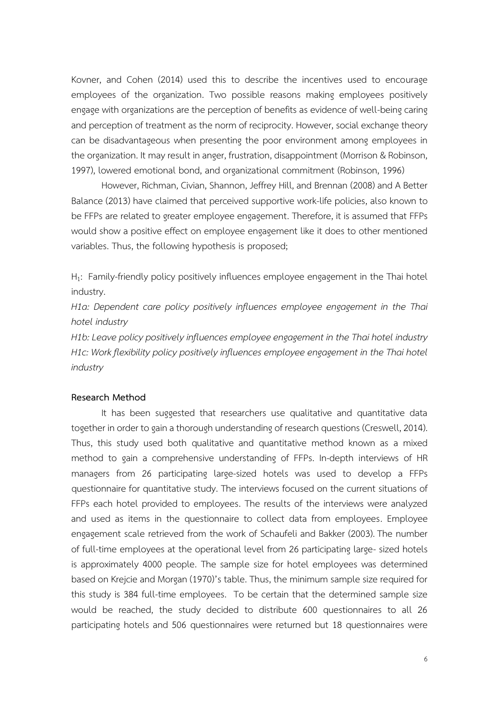Kovner, and Cohen (2014) used this to describe the incentives used to encourage employees of the organization. Two possible reasons making employees positively engage with organizations are the perception of benefits as evidence of well-being caring and perception of treatment as the norm of reciprocity. However, social exchange theory can be disadvantageous when presenting the poor environment among employees in the organization. It may result in anger, frustration, disappointment (Morrison & Robinson, 1997), lowered emotional bond, and organizational commitment (Robinson, 1996)

However, Richman, Civian, Shannon, Jeffrey Hill, and Brennan (2008) and A Better Balance (2013) have claimed that perceived supportive work-life policies, also known to be FFPs are related to greater employee engagement. Therefore, it is assumed that FFPs would show a positive effect on employee engagement like it does to other mentioned variables. Thus, the following hypothesis is proposed;

 $H_1$ : Family-friendly policy positively influences employee engagement in the Thai hotel industry.

*H1a: Dependent care policy positively influences employee engagement in the Thai hotel industry*

*H1b: Leave policy positively influences employee engagement in the Thai hotel industry H1c: Work flexibility policy positively influences employee engagement in the Thai hotel industry*

#### **Research Method**

It has been suggested that researchers use qualitative and quantitative data together in order to gain a thorough understanding of research questions (Creswell, 2014). Thus, this study used both qualitative and quantitative method known as a mixed method to gain a comprehensive understanding of FFPs. In-depth interviews of HR managers from 26 participating large-sized hotels was used to develop a FFPs questionnaire for quantitative study. The interviews focused on the current situations of FFPs each hotel provided to employees. The results of the interviews were analyzed and used as items in the questionnaire to collect data from employees. Employee engagement scale retrieved from the work of Schaufeli and Bakker (2003).The number of full-time employees at the operational level from 26 participating large- sized hotels is approximately 4000 people. The sample size for hotel employees was determined based on Krejcie and Morgan (1970)'s table. Thus, the minimum sample size required for this study is 384 full-time employees. To be certain that the determined sample size would be reached, the study decided to distribute 600 questionnaires to all 26 participating hotels and 506 questionnaires were returned but 18 questionnaires were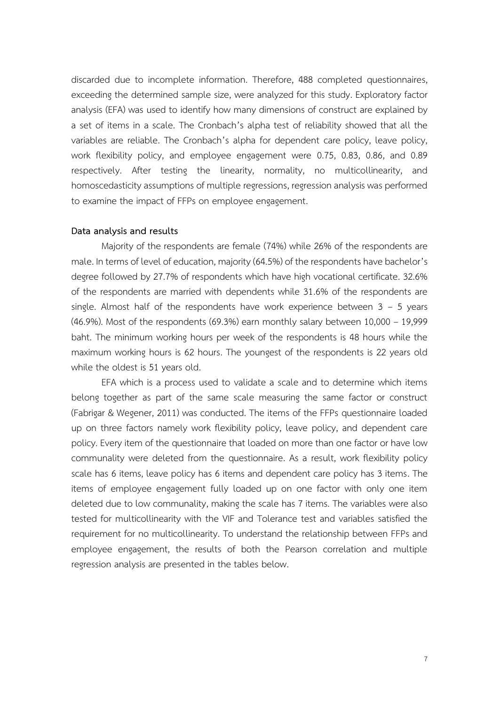discarded due to incomplete information. Therefore, 488 completed questionnaires, exceeding the determined sample size, were analyzed for this study. Exploratory factor analysis (EFA) was used to identify how many dimensions of construct are explained by a set of items in a scale. The Cronbach's alpha test of reliability showed that all the variables are reliable. The Cronbach's alpha for dependent care policy, leave policy, work flexibility policy, and employee engagement were 0.75, 0.83, 0.86, and 0.89 respectively. After testing the linearity, normality, no multicollinearity, and homoscedasticity assumptions of multiple regressions, regression analysis was performed to examine the impact of FFPs on employee engagement.

#### **Data analysis and results**

Majority of the respondents are female (74%) while 26% of the respondents are male. In terms of level of education, majority (64.5%) of the respondents have bachelor's degree followed by 27.7% of respondents which have high vocational certificate. 32.6% of the respondents are married with dependents while 31.6% of the respondents are single. Almost half of the respondents have work experience between  $3 - 5$  years (46.9%). Most of the respondents (69.3%) earn monthly salary between 10,000 – 19,999 baht. The minimum working hours per week of the respondents is 48 hours while the maximum working hours is 62 hours. The youngest of the respondents is 22 years old while the oldest is 51 years old.

EFA which is a process used to validate a scale and to determine which items belong together as part of the same scale measuring the same factor or construct (Fabrigar & Wegener, 2011) was conducted. The items of the FFPs questionnaire loaded up on three factors namely work flexibility policy, leave policy, and dependent care policy. Every item of the questionnaire that loaded on more than one factor or have low communality were deleted from the questionnaire. As a result, work flexibility policy scale has 6 items, leave policy has 6 items and dependent care policy has 3 items. The items of employee engagement fully loaded up on one factor with only one item deleted due to low communality, making the scale has 7 items. The variables were also tested for multicollinearity with the VIF and Tolerance test and variables satisfied the requirement for no multicollinearity. To understand the relationship between FFPs and employee engagement, the results of both the Pearson correlation and multiple regression analysis are presented in the tables below.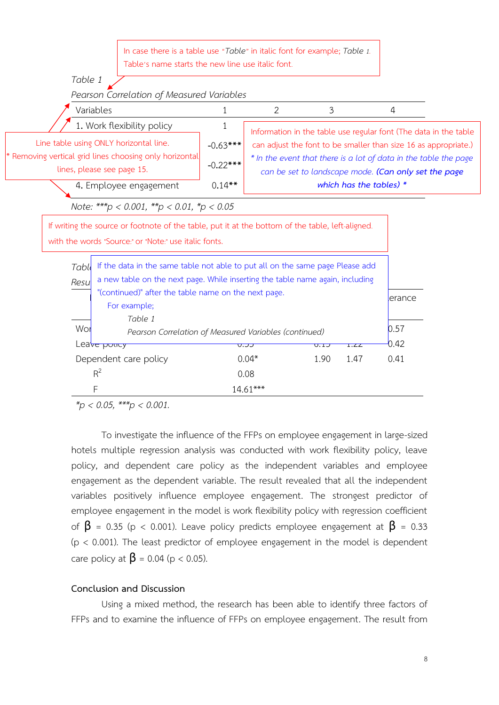In case there is a table use "*Table*" in italic font for example; *Table 1.* Table's name starts the new line use italic font.



*\*p < 0.05, \*\*\*p < 0.001.*

To investigate the influence of the FFPs on employee engagement in large-sized hotels multiple regression analysis was conducted with work flexibility policy, leave policy, and dependent care policy as the independent variables and employee engagement as the dependent variable. The result revealed that all the independent variables positively influence employee engagement. The strongest predictor of employee engagement in the model is work flexibility policy with regression coefficient of  $\beta$  = 0.35 (p < 0.001). Leave policy predicts employee engagement at  $\beta$  = 0.33  $(p < 0.001)$ . The least predictor of employee engagement in the model is dependent care policy at  $\beta$  = 0.04 (p < 0.05).

#### **Conclusion and Discussion**

Using a mixed method, the research has been able to identify three factors of FFPs and to examine the influence of FFPs on employee engagement. The result from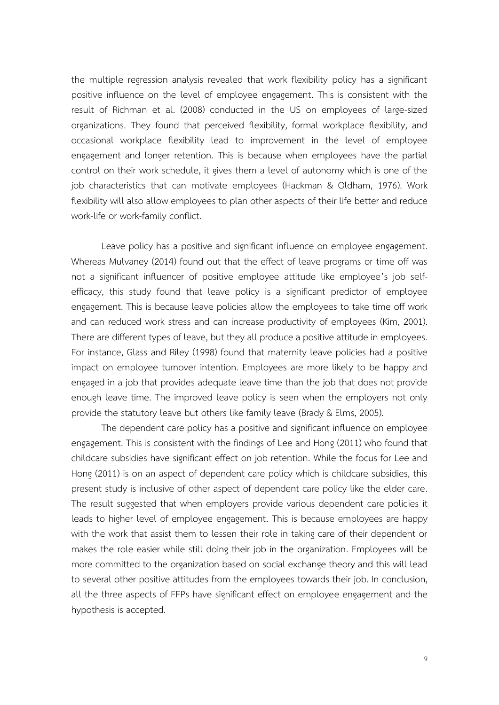the multiple regression analysis revealed that work flexibility policy has a significant positive influence on the level of employee engagement. This is consistent with the result of Richman et al. (2008) conducted in the US on employees of large-sized organizations. They found that perceived flexibility, formal workplace flexibility, and occasional workplace flexibility lead to improvement in the level of employee engagement and longer retention. This is because when employees have the partial control on their work schedule, it gives them a level of autonomy which is one of the job characteristics that can motivate employees (Hackman & Oldham, 1976). Work flexibility will also allow employees to plan other aspects of their life better and reduce work-life or work-family conflict.

Leave policy has a positive and significant influence on employee engagement. Whereas Mulvaney (2014) found out that the effect of leave programs or time off was not a significant influencer of positive employee attitude like employee's job selfefficacy, this study found that leave policy is a significant predictor of employee engagement. This is because leave policies allow the employees to take time off work and can reduced work stress and can increase productivity of employees (Kim, 2001). There are different types of leave, but they all produce a positive attitude in employees. For instance, Glass and Riley (1998) found that maternity leave policies had a positive impact on employee turnover intention. Employees are more likely to be happy and engaged in a job that provides adequate leave time than the job that does not provide enough leave time. The improved leave policy is seen when the employers not only provide the statutory leave but others like family leave (Brady & Elms, 2005).

The dependent care policy has a positive and significant influence on employee engagement. This is consistent with the findings of Lee and Hong (2011) who found that childcare subsidies have significant effect on job retention. While the focus for Lee and Hong (2011) is on an aspect of dependent care policy which is childcare subsidies, this present study is inclusive of other aspect of dependent care policy like the elder care. The result suggested that when employers provide various dependent care policies it leads to higher level of employee engagement. This is because employees are happy with the work that assist them to lessen their role in taking care of their dependent or makes the role easier while still doing their job in the organization. Employees will be more committed to the organization based on social exchange theory and this will lead to several other positive attitudes from the employees towards their job. In conclusion, all the three aspects of FFPs have significant effect on employee engagement and the hypothesis is accepted.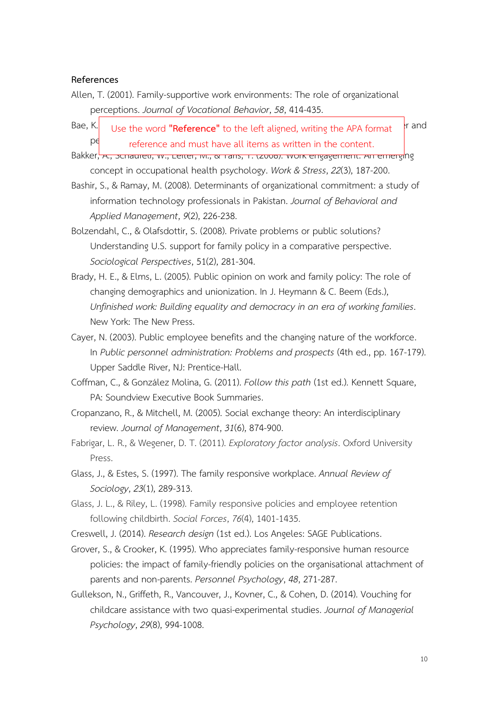#### **References**

- Allen, T. (2001). Family-supportive work environments: The role of organizational perceptions. *Journal of Vocational Behavior*, *58*, 414-435.
- Bae, K. Use the word **"Reference"** to the left aligned, writing the APA format **Figure** performance and must have all items as written in the content.
- Bakker, A., Schaufelt, W., Leiter, M., & Taris, T. (2006). Work engagement: An emerging concept in occupational health psychology. *Work & Stress*, *22*(3), 187-200.
- Bashir, S., & Ramay, M. (2008). Determinants of organizational commitment: a study of information technology professionals in Pakistan. *Journal of Behavioral and Applied Management*, *9*(2), 226-238.
- Bolzendahl, C., & Olafsdottir, S. (2008). Private problems or public solutions? Understanding U.S. support for family policy in a comparative perspective. *Sociological Perspectives*, 51(2), 281-304.
- Brady, H. E., & Elms, L. (2005). Public opinion on work and family policy: The role of changing demographics and unionization. In J. Heymann & C. Beem (Eds.), *Unfinished work: Building equality and democracy in an era of working families*. New York: The New Press.
- Cayer, N. (2003). Public employee benefits and the changing nature of the workforce. In *Public personnel administration: Problems and prospects* (4th ed., pp. 167-179). Upper Saddle River, NJ: Prentice-Hall.
- Coffman, C., & González Molina, G. (2011). *Follow this path* (1st ed.). Kennett Square, PA: Soundview Executive Book Summaries.
- Cropanzano, R., & Mitchell, M. (2005). Social exchange theory: An interdisciplinary review. *Journal of Management*, *31*(6), 874-900.
- Fabrigar, L. R., & Wegener, D. T. (2011). *Exploratory factor analysis*. Oxford University Press.
- Glass, J., & Estes, S. (1997). The family responsive workplace. *Annual Review of Sociology*, *23*(1), 289-313.
- Glass, J. L., & Riley, L. (1998). Family responsive policies and employee retention following childbirth. *Social Forces*, *76*(4), 1401-1435.
- Creswell, J. (2014). *Research design* (1st ed.). Los Angeles: SAGE Publications.
- Grover, S., & Crooker, K. (1995). Who appreciates family-responsive human resource policies: the impact of family-friendly policies on the organisational attachment of parents and non-parents. *Personnel Psychology*, *48*, 271-287.
- Gullekson, N., Griffeth, R., Vancouver, J., Kovner, C., & Cohen, D. (2014). Vouching for childcare assistance with two quasi-experimental studies. *Journal of Managerial Psychology*, *29*(8), 994-1008.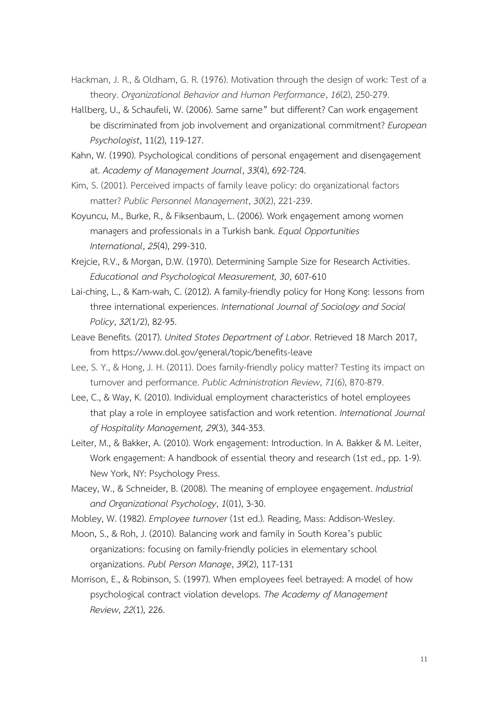- Hackman, J. R., & Oldham, G. R. (1976). Motivation through the design of work: Test of a theory. *Organizational Behavior and Human Performance*, *16*(2), 250-279.
- Hallberg, U., & Schaufeli, W. (2006). Same same" but different? Can work engagement be discriminated from job involvement and organizational commitment? *European Psychologist*, 11(2), 119-127.
- Kahn, W. (1990). Psychological conditions of personal engagement and disengagement at. *Academy of Management Journal*, *33*(4), 692-724.
- Kim, S. (2001). Perceived impacts of family leave policy: do organizational factors matter? *Public Personnel Management*, *30*(2), 221-239.
- Koyuncu, M., Burke, R., & Fiksenbaum, L. (2006). Work engagement among women managers and professionals in a Turkish bank. *Equal Opportunities International*, *25*(4), 299-310.
- Krejcie, R.V., & Morgan, D.W. (1970). Determining Sample Size for Research Activities. *Educational and Psychological Measurement, 30*, 607-610
- Lai-ching, L., & Kam-wah, C. (2012). A family-friendly policy for Hong Kong: lessons from three international experiences. *International Journal of Sociology and Social Policy*, *32*(1/2), 82-95.
- Leave Benefits*.* (2017). *United States Department of Labor*. Retrieved 18 March 2017, from https://www.dol.gov/general/topic/[benefits](https://www.dol.gov/general/topic/benefits-leave)-leave
- Lee, S. Y., & Hong, J. H. (2011). Does family-friendly policy matter? Testing its impact on turnover and performance. *Public Administration Review*, *71*(6), 870-879.
- Lee, C., & Way, K. (2010). Individual employment characteristics of hotel employees that play a role in employee satisfaction and work retention. *International Journal of Hospitality Management, 29*(3), 344-353.
- Leiter, M., & Bakker, A. (2010). Work engagement: Introduction. In A. Bakker & M. Leiter, Work engagement: A handbook of essential theory and research (1st ed., pp. 1-9). New York, NY: Psychology Press.
- Macey, W., & Schneider, B. (2008). The meaning of employee engagement. *Industrial and Organizational Psychology*, *1*(01), 3-30.
- Mobley, W. (1982). *Employee turnover* (1st ed.). Reading, Mass: Addison-Wesley.
- Moon, S., & Roh, J. (2010). Balancing work and family in South Korea's public organizations: focusing on family-friendly policies in elementary school organizations. *Publ Person Manage*, *39*(2), 117-131
- Morrison, E., & Robinson, S. (1997). When employees feel betrayed: A model of how psychological contract violation develops. *The Academy of Management Review*, *22*(1), 226.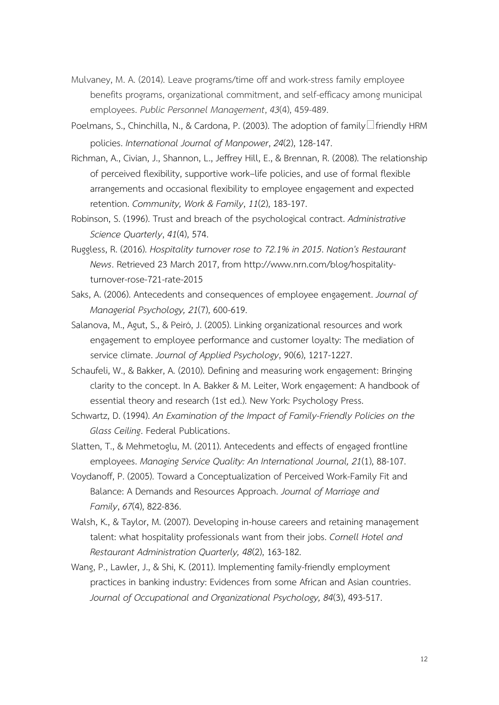- Mulvaney, M. A. (2014). Leave programs/time off and work-stress family employee benefits programs, organizational commitment, and self-efficacy among municipal employees. *Public Personnel Management*, *43*(4), 459-489.
- Poelmans, S., Chinchilla, N., & Cardona, P. (2003). The adoption of family  $\Box$  friendly HRM policies. *International Journal of Manpower*, *24*(2), 128-147.
- Richman, A., Civian, J., Shannon, L., Jeffrey Hill, E., & Brennan, R. (2008). The relationship of perceived flexibility, supportive work–life policies, and use of formal flexible arrangements and occasional flexibility to employee engagement and expected retention. *Community, Work & Family*, *11*(2), 183-197.
- Robinson, S. (1996). Trust and breach of the psychological contract. *Administrative Science Quarterly*, *41*(4), 574.
- Ruggless, R. (2016). *Hospitality turnover rose to 72.1% in 2015*. *Nation's Restaurant News*. Retrieved 23 March 2017, from http://www.nrn.com/blog/hospitalityturnover-rose-721-rate-2015
- Saks, A. (2006). Antecedents and consequences of employee engagement. *Journal of Managerial Psychology, 21*(7), 600-619.
- Salanova, M., Agut, S., & Peiró, J. (2005). Linking organizational resources and work engagement to employee performance and customer loyalty: The mediation of service climate. *Journal of Applied Psychology*, 90(6), 1217-1227.
- Schaufeli, W., & Bakker, A. (2010). Defining and measuring work engagement: Bringing clarity to the concept. In A. Bakker & M. Leiter, Work engagement: A handbook of essential theory and research (1st ed.). New York: Psychology Press.
- Schwartz, D. (1994). *An Examination of the Impact of Family-Friendly Policies on the Glass Ceiling*. Federal Publications.
- Slatten, T., & Mehmetoglu, M. (2011). Antecedents and effects of engaged frontline employees. *Managing Service Quality: An International Journal, 21*(1), 88-107.
- Voydanoff, P. (2005). Toward a Conceptualization of Perceived Work-Family Fit and Balance: A Demands and Resources Approach. *Journal of Marriage and Family*, *67*(4), 822-836.
- Walsh, K., & Taylor, M. (2007). Developing in-house careers and retaining management talent: what hospitality professionals want from their jobs. *Cornell Hotel and Restaurant Administration Quarterly, 48*(2), 163-182.
- Wang, P., Lawler, J., & Shi, K. (2011). Implementing family-friendly employment practices in banking industry: Evidences from some African and Asian countries. *Journal of Occupational and Organizational Psychology, 84*(3), 493-517.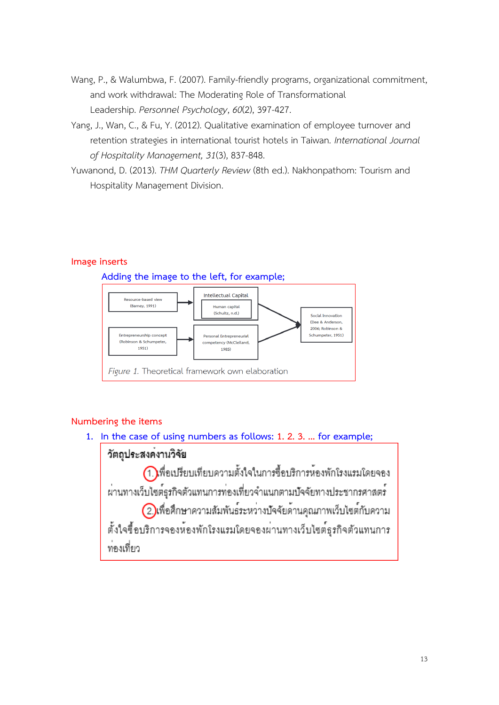- Wang, P., & Walumbwa, F. (2007). Family-friendly programs, organizational commitment, and work withdrawal: The Moderating Role of Transformational Leadership. *Personnel Psychology*, *60*(2), 397-427.
- Yang, J., Wan, C., & Fu, Y. (2012). Qualitative examination of employee turnover and retention strategies in international tourist hotels in Taiwan*. International Journal of Hospitality Management, 31*(3), 837-848.
- Yuwanond, D. (2013). *THM Quarterly Review* (8th ed.). Nakhonpathom: Tourism and Hospitality Management Division.

#### **Image inserts**



### **Numbering the items**

**1. In the case of using numbers as follows: 1. 2. 3. ... for example;**

# วัตถประสงคงานวิจัย

(1.)พื่อเปรียบเทียบความตั้งใจในการซื้อบริการห้องพักโรงแรมโดยจอง ผ่านทางเว็บไซต์ธุรกิจตัวแทนการท่องเที่ยวจำแนกตามปัจจัยทางประชากรศาสตร์

(2)เพื่อศึกษาความสัมพันธ์ระหว่างปัจจัยด้านคุณภาพเว็บไซต์กับความ ตั้งใจซื้อบริการจองห้องพักโรงแรมโดยจองผ่านทางเว็บไซต์ธุรกิจตัวแทนการ ..<br>ทคงเที่ยว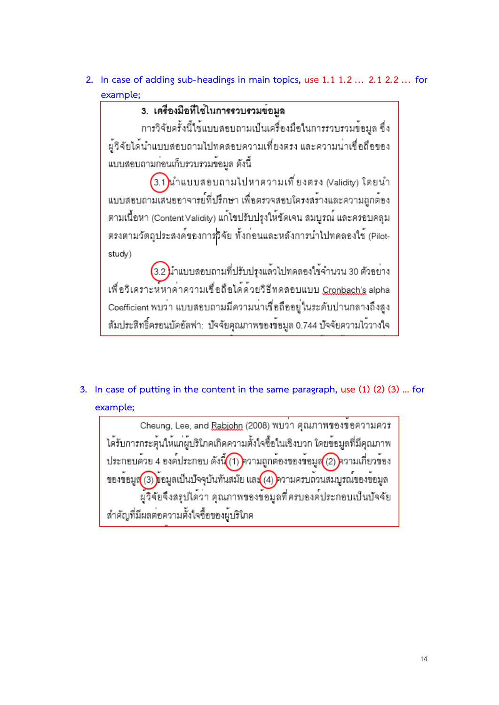2. In case of adding sub-headings in main topics, use 1.1 1.2 ... 2.1 2.2 ... for

# **example;**

การวิจัยครั้งนี้ใช้แบบสอบถามเป็นเครื่องมือในการรวบรวมข้อมูล ซึ่ง ผู้วิจัยได้นำแบบสอบถามไปทดสอบความเที่ยงตรง และความน่าเชื่อถือของ แบบสอบถามก่อนเก็บรวบรวมข้อมูล ดังนี้

3.1)นำแบบสอบถามไปหาความเที่ยงตรง (Validity) โดยนำ แบบสอบถามเสนออาจารย์ที่ปรึกษา เพื่อตรวจสอบโครงสร้างและความถูกต้อง ตามเนื้อหา (Content Validity) แก<sup>้</sup>ไขปรับปรุงให<sup>้</sup>ชัดเจน สมบูรณ์ และครอบคลุม ตรงตามวัตถุประสงค์ของการกิจัย ทั้งก่อนและหลังการนำไปทดลองใช้ (Pilotstudv)

3.2) มาแบบสอบถามที่ปรับปรุงแล<sup>้</sup>วไปทดลองใช้จำนวน 30 ตัวอย<sup>่</sup>าง เพื่อวิเคราะห์หาคาความเชื่อถือได้ด้วยวิธีทดสอบแบบ <u>Cronbach's</u> alpha Coefficient พบว<sup>่</sup>า แบบสอบถามมีความน่าเชื่อถืออยู่ในระดับปานกลางถึงสูง สัมประสิทธิ์ครอนบัคอัลฟา: บัจจัยคุณภาพของข้อมูล 0.744 บัจจัยความไว้วางใจ

# **3. In case of putting in the content in the same paragraph, use (1) (2) (3) ... for example;**

Cheung, Lee, and Rabiohn (2008) พบว่า คุณภาพของขอความควร ได้รับการกระตุ้นให้แก่ผู้บริโภคเกิดความตั้งใจซื้อในเชิงบวก โดยข้อมูลที่มีคุณภาพ ประกอบด้วย 4 องค์ประกอบ ดังนี้ (1) ความถูกต้องของข้อมูล (2) ความเกี่ยวข้อง ของข้อมูส(3)ข้อมูลเป็นปัจจุบันทันสมัย และ(4) ความครบถ้วนสมบูรณ์ของข้อมูล ผู้วิจัยจึงสรุปได้ว่า คุณภาพของข้อมูลที่ครบองค์ประกอบเป็นปัจจัย สำคัญที่มีผลต่อความตั้งใจซื้อของผู้บริโภค